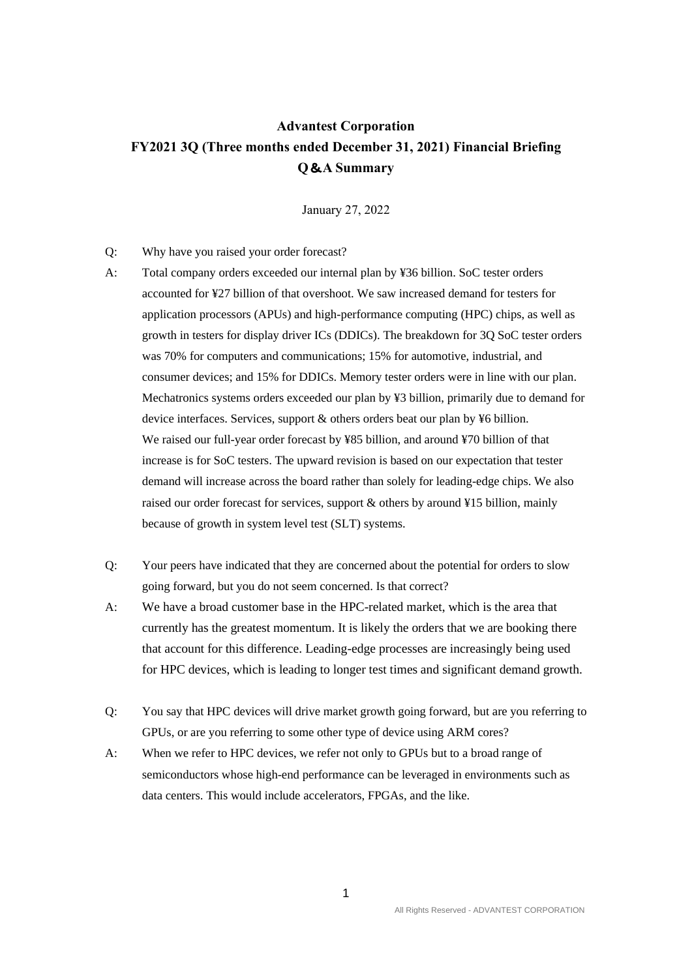## **Advantest Corporation FY2021 3Q (Three months ended December 31, 2021) Financial Briefing Q**&**A Summary**

January 27, 2022

- Q: Why have you raised your order forecast?
- A: Total company orders exceeded our internal plan by ¥36 billion. SoC tester orders accounted for ¥27 billion of that overshoot. We saw increased demand for testers for application processors (APUs) and high-performance computing (HPC) chips, as well as growth in testers for display driver ICs (DDICs). The breakdown for 3Q SoC tester orders was 70% for computers and communications; 15% for automotive, industrial, and consumer devices; and 15% for DDICs. Memory tester orders were in line with our plan. Mechatronics systems orders exceeded our plan by ¥3 billion, primarily due to demand for device interfaces. Services, support & others orders beat our plan by ¥6 billion. We raised our full-year order forecast by ¥85 billion, and around ¥70 billion of that increase is for SoC testers. The upward revision is based on our expectation that tester demand will increase across the board rather than solely for leading-edge chips. We also raised our order forecast for services, support & others by around ¥15 billion, mainly because of growth in system level test (SLT) systems.
- Q: Your peers have indicated that they are concerned about the potential for orders to slow going forward, but you do not seem concerned. Is that correct?
- A: We have a broad customer base in the HPC-related market, which is the area that currently has the greatest momentum. It is likely the orders that we are booking there that account for this difference. Leading-edge processes are increasingly being used for HPC devices, which is leading to longer test times and significant demand growth.
- Q: You say that HPC devices will drive market growth going forward, but are you referring to GPUs, or are you referring to some other type of device using ARM cores?
- A: When we refer to HPC devices, we refer not only to GPUs but to a broad range of semiconductors whose high-end performance can be leveraged in environments such as data centers. This would include accelerators, FPGAs, and the like.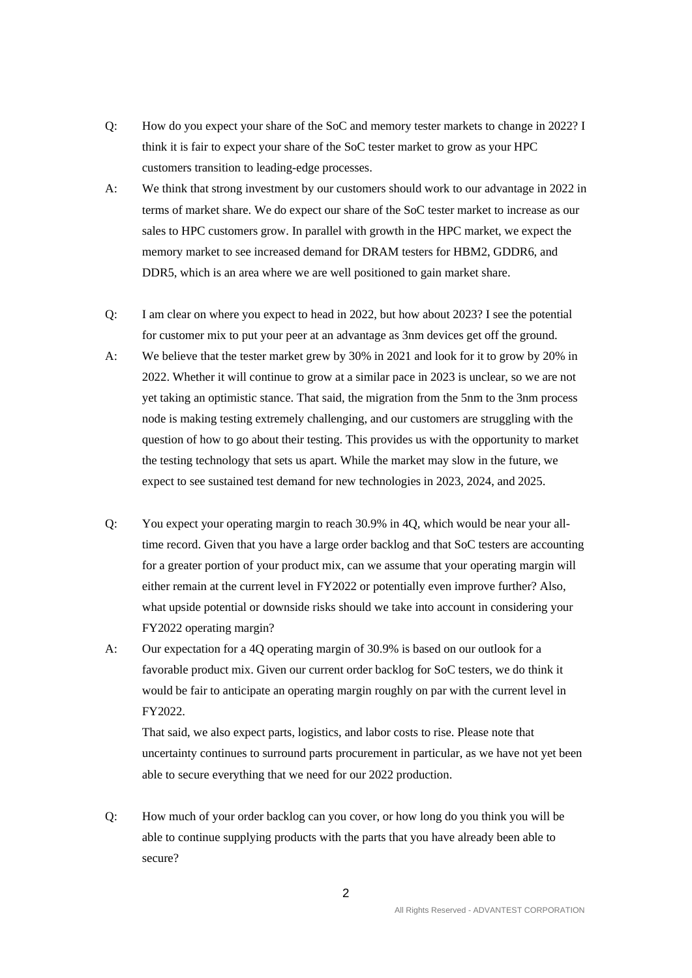- Q: How do you expect your share of the SoC and memory tester markets to change in 2022? I think it is fair to expect your share of the SoC tester market to grow as your HPC customers transition to leading-edge processes.
- A: We think that strong investment by our customers should work to our advantage in 2022 in terms of market share. We do expect our share of the SoC tester market to increase as our sales to HPC customers grow. In parallel with growth in the HPC market, we expect the memory market to see increased demand for DRAM testers for HBM2, GDDR6, and DDR5, which is an area where we are well positioned to gain market share.
- Q: I am clear on where you expect to head in 2022, but how about 2023? I see the potential for customer mix to put your peer at an advantage as 3nm devices get off the ground.
- A: We believe that the tester market grew by 30% in 2021 and look for it to grow by 20% in 2022. Whether it will continue to grow at a similar pace in 2023 is unclear, so we are not yet taking an optimistic stance. That said, the migration from the 5nm to the 3nm process node is making testing extremely challenging, and our customers are struggling with the question of how to go about their testing. This provides us with the opportunity to market the testing technology that sets us apart. While the market may slow in the future, we expect to see sustained test demand for new technologies in 2023, 2024, and 2025.
- Q: You expect your operating margin to reach 30.9% in 4Q, which would be near your alltime record. Given that you have a large order backlog and that SoC testers are accounting for a greater portion of your product mix, can we assume that your operating margin will either remain at the current level in FY2022 or potentially even improve further? Also, what upside potential or downside risks should we take into account in considering your FY2022 operating margin?
- A: Our expectation for a 4Q operating margin of 30.9% is based on our outlook for a favorable product mix. Given our current order backlog for SoC testers, we do think it would be fair to anticipate an operating margin roughly on par with the current level in FY2022.

That said, we also expect parts, logistics, and labor costs to rise. Please note that uncertainty continues to surround parts procurement in particular, as we have not yet been able to secure everything that we need for our 2022 production.

Q: How much of your order backlog can you cover, or how long do you think you will be able to continue supplying products with the parts that you have already been able to secure?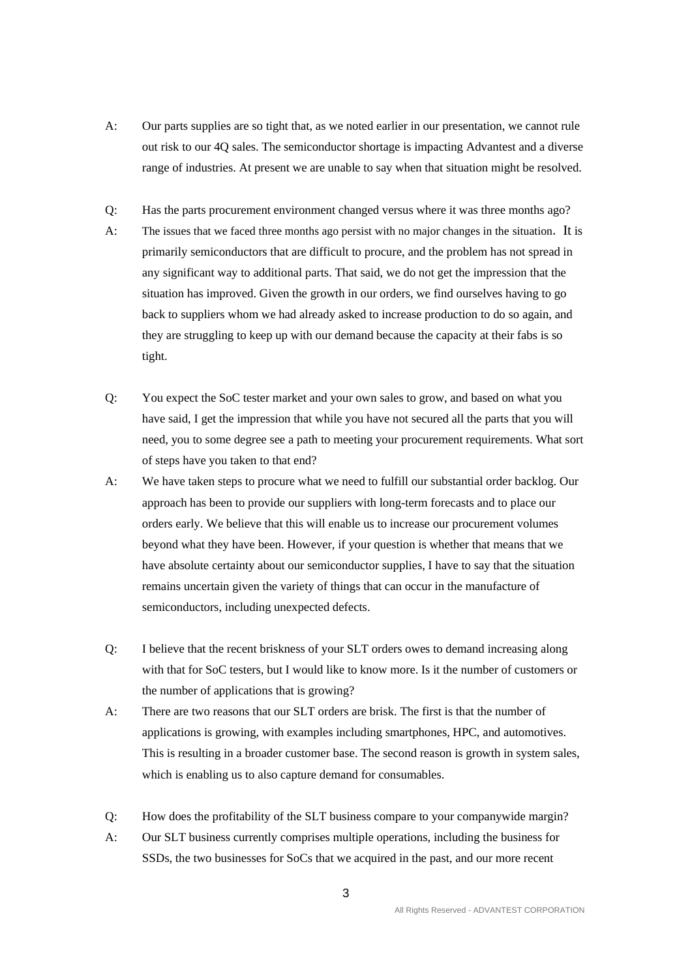- A: Our parts supplies are so tight that, as we noted earlier in our presentation, we cannot rule out risk to our 4Q sales. The semiconductor shortage is impacting Advantest and a diverse range of industries. At present we are unable to say when that situation might be resolved.
- Q: Has the parts procurement environment changed versus where it was three months ago?
- A: The issues that we faced three months ago persist with no major changes in the situation. It is primarily semiconductors that are difficult to procure, and the problem has not spread in any significant way to additional parts. That said, we do not get the impression that the situation has improved. Given the growth in our orders, we find ourselves having to go back to suppliers whom we had already asked to increase production to do so again, and they are struggling to keep up with our demand because the capacity at their fabs is so tight.
- Q: You expect the SoC tester market and your own sales to grow, and based on what you have said, I get the impression that while you have not secured all the parts that you will need, you to some degree see a path to meeting your procurement requirements. What sort of steps have you taken to that end?
- A: We have taken steps to procure what we need to fulfill our substantial order backlog. Our approach has been to provide our suppliers with long-term forecasts and to place our orders early. We believe that this will enable us to increase our procurement volumes beyond what they have been. However, if your question is whether that means that we have absolute certainty about our semiconductor supplies, I have to say that the situation remains uncertain given the variety of things that can occur in the manufacture of semiconductors, including unexpected defects.
- Q: I believe that the recent briskness of your SLT orders owes to demand increasing along with that for SoC testers, but I would like to know more. Is it the number of customers or the number of applications that is growing?
- A: There are two reasons that our SLT orders are brisk. The first is that the number of applications is growing, with examples including smartphones, HPC, and automotives. This is resulting in a broader customer base. The second reason is growth in system sales, which is enabling us to also capture demand for consumables.
- Q: How does the profitability of the SLT business compare to your companywide margin?
- A: Our SLT business currently comprises multiple operations, including the business for SSDs, the two businesses for SoCs that we acquired in the past, and our more recent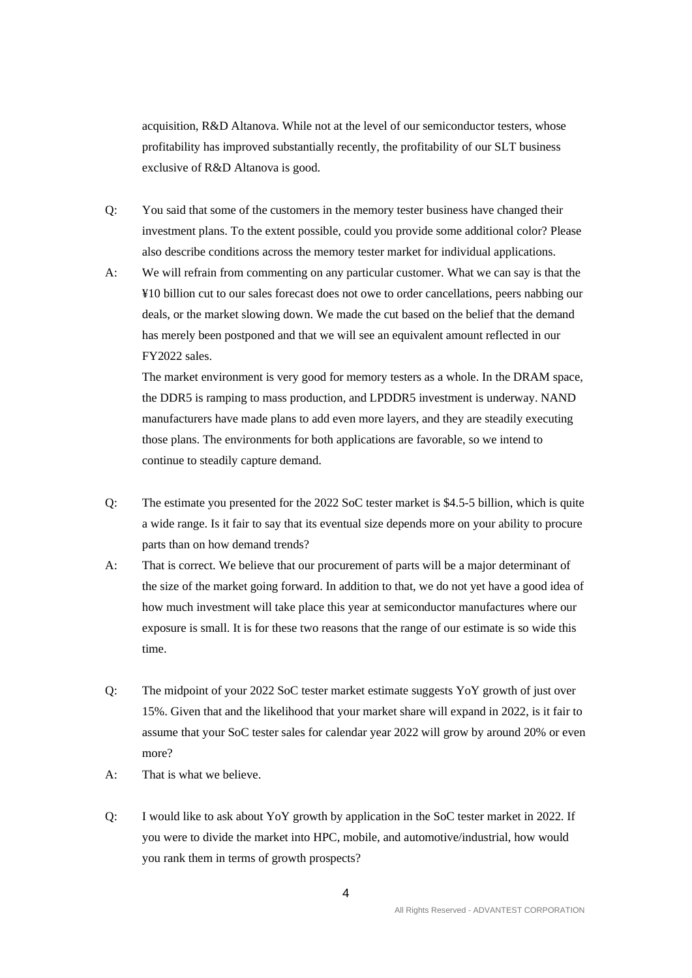acquisition, R&D Altanova. While not at the level of our semiconductor testers, whose profitability has improved substantially recently, the profitability of our SLT business exclusive of R&D Altanova is good.

- Q: You said that some of the customers in the memory tester business have changed their investment plans. To the extent possible, could you provide some additional color? Please also describe conditions across the memory tester market for individual applications.
- A: We will refrain from commenting on any particular customer. What we can say is that the ¥10 billion cut to our sales forecast does not owe to order cancellations, peers nabbing our deals, or the market slowing down. We made the cut based on the belief that the demand has merely been postponed and that we will see an equivalent amount reflected in our FY2022 sales.

The market environment is very good for memory testers as a whole. In the DRAM space, the DDR5 is ramping to mass production, and LPDDR5 investment is underway. NAND manufacturers have made plans to add even more layers, and they are steadily executing those plans. The environments for both applications are favorable, so we intend to continue to steadily capture demand.

- Q: The estimate you presented for the 2022 SoC tester market is \$4.5-5 billion, which is quite a wide range. Is it fair to say that its eventual size depends more on your ability to procure parts than on how demand trends?
- A: That is correct. We believe that our procurement of parts will be a major determinant of the size of the market going forward. In addition to that, we do not yet have a good idea of how much investment will take place this year at semiconductor manufactures where our exposure is small. It is for these two reasons that the range of our estimate is so wide this time.
- Q: The midpoint of your 2022 SoC tester market estimate suggests YoY growth of just over 15%. Given that and the likelihood that your market share will expand in 2022, is it fair to assume that your SoC tester sales for calendar year 2022 will grow by around 20% or even more?
- A: That is what we believe.
- Q: I would like to ask about YoY growth by application in the SoC tester market in 2022. If you were to divide the market into HPC, mobile, and automotive/industrial, how would you rank them in terms of growth prospects?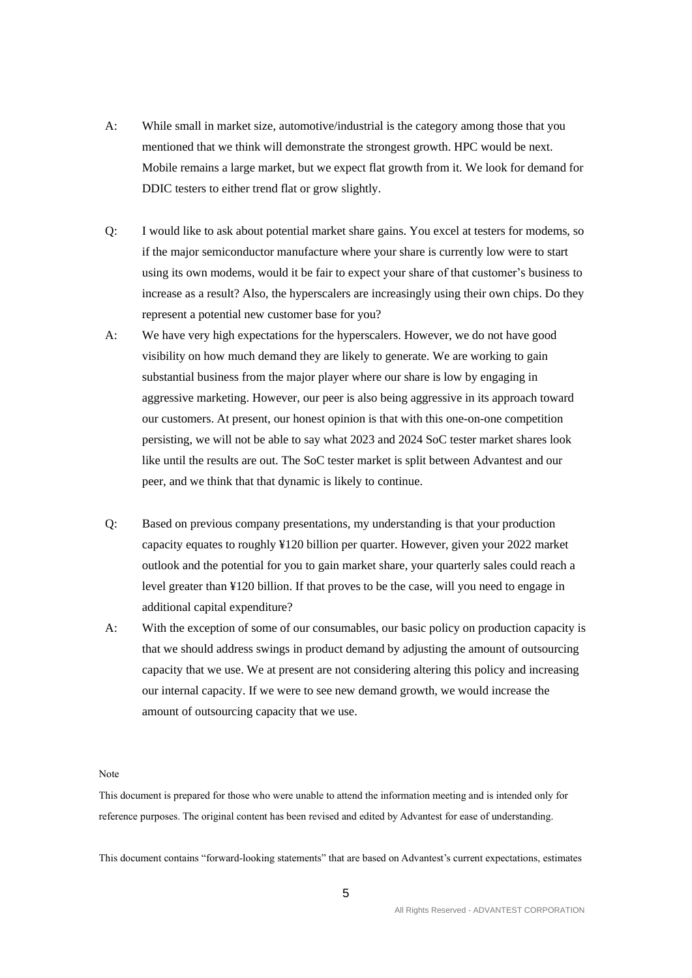- A: While small in market size, automotive/industrial is the category among those that you mentioned that we think will demonstrate the strongest growth. HPC would be next. Mobile remains a large market, but we expect flat growth from it. We look for demand for DDIC testers to either trend flat or grow slightly.
- Q: I would like to ask about potential market share gains. You excel at testers for modems, so if the major semiconductor manufacture where your share is currently low were to start using its own modems, would it be fair to expect your share of that customer's business to increase as a result? Also, the hyperscalers are increasingly using their own chips. Do they represent a potential new customer base for you?
- A: We have very high expectations for the hyperscalers. However, we do not have good visibility on how much demand they are likely to generate. We are working to gain substantial business from the major player where our share is low by engaging in aggressive marketing. However, our peer is also being aggressive in its approach toward our customers. At present, our honest opinion is that with this one-on-one competition persisting, we will not be able to say what 2023 and 2024 SoC tester market shares look like until the results are out. The SoC tester market is split between Advantest and our peer, and we think that that dynamic is likely to continue.
- Q: Based on previous company presentations, my understanding is that your production capacity equates to roughly ¥120 billion per quarter. However, given your 2022 market outlook and the potential for you to gain market share, your quarterly sales could reach a level greater than ¥120 billion. If that proves to be the case, will you need to engage in additional capital expenditure?
- A: With the exception of some of our consumables, our basic policy on production capacity is that we should address swings in product demand by adjusting the amount of outsourcing capacity that we use. We at present are not considering altering this policy and increasing our internal capacity. If we were to see new demand growth, we would increase the amount of outsourcing capacity that we use.

## Note

This document is prepared for those who were unable to attend the information meeting and is intended only for reference purposes. The original content has been revised and edited by Advantest for ease of understanding.

This document contains "forward-looking statements" that are based on Advantest's current expectations, estimates